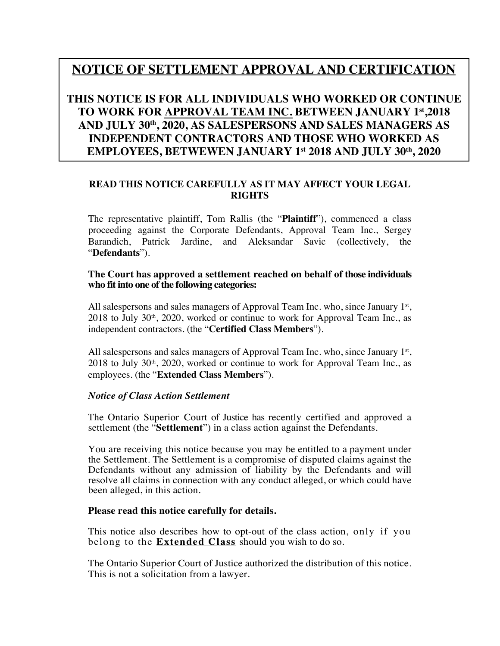# **NOTICE OF SETTLEMENT APPROVAL AND CERTIFICATION**

## **THIS NOTICE IS FOR ALL INDIVIDUALS WHO WORKED OR CONTINUE TO WORK FOR APPROVAL TEAM INC. BETWEEN JANUARY 1 st ,2018 AND JULY 30th , 2020, AS SALESPERSONS AND SALES MANAGERS AS INDEPENDENT CONTRACTORS AND THOSE WHO WORKED AS EMPLOYEES, BETWEWEN JANUARY 1 st 2018 AND JULY 30th , 2020**

## **READ THIS NOTICE CAREFULLY AS IT MAY AFFECT YOUR LEGAL RIGHTS**

The representative plaintiff, Tom Rallis (the "**Plaintiff**"), commenced a class proceeding against the Corporate Defendants, Approval Team Inc., Sergey Barandich, Patrick Jardine, and Aleksandar Savic (collectively, the "**Defendants**").

#### **The Court has approved a settlement reached on behalf of those individuals who fit into one of the following categories:**

All salespersons and sales managers of Approval Team Inc. who, since January 1st,  $2018$  to July  $30<sup>th</sup>$ ,  $2020$ , worked or continue to work for Approval Team Inc., as independent contractors. (the "**Certified Class Members**").

All salespersons and sales managers of Approval Team Inc. who, since January 1<sup>st</sup>,  $2018$  to July  $30<sup>th</sup>$ ,  $2020$ , worked or continue to work for Approval Team Inc., as employees. (the "**Extended Class Members**").

#### *Notice of Class Action Settlement*

The Ontario Superior Court of Justice has recently certified and approved a settlement (the "**Settlement**") in a class action against the Defendants.

You are receiving this notice because you may be entitled to a payment under the Settlement. The Settlement is a compromise of disputed claims against the Defendants without any admission of liability by the Defendants and will resolve all claims in connection with any conduct alleged, or which could have been alleged, in this action.

#### **Please read this notice carefully for details.**

This notice also describes how to opt-out of the class action, only if you belong to the **Extended Class** should you wish to do so.

The Ontario Superior Court of Justice authorized the distribution of this notice. This is not a solicitation from a lawyer.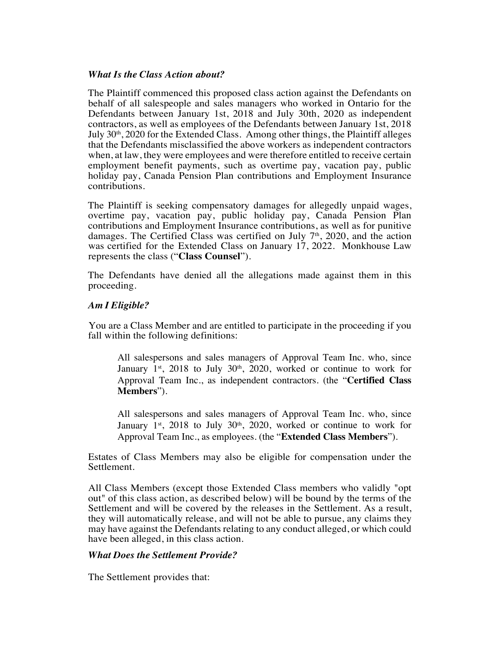#### *What Is the Class Action about?*

The Plaintiff commenced this proposed class action against the Defendants on behalf of all salespeople and sales managers who worked in Ontario for the Defendants between January 1st, 2018 and July 30th, 2020 as independent contractors, as well as employees of the Defendants between January 1st, 2018 July 30<sup>th</sup>, 2020 for the Extended Class. Among other things, the Plaintiff alleges that the Defendants misclassified the above workers as independent contractors when, at law, they were employees and were therefore entitled to receive certain employment benefit payments, such as overtime pay, vacation pay, public holiday pay, Canada Pension Plan contributions and Employment Insurance contributions.

The Plaintiff is seeking compensatory damages for allegedly unpaid wages, overtime pay, vacation pay, public holiday pay, Canada Pension Plan contributions and Employment Insurance contributions, as well as for punitive damages. The Certified Class was certified on July  $7<sup>th</sup>$ , 2020, and the action was certified for the Extended Class on January 17, 2022. Monkhouse Law represents the class ("**Class Counsel**").

The Defendants have denied all the allegations made against them in this proceeding.

#### *Am I Eligible?*

You are a Class Member and are entitled to participate in the proceeding if you fall within the following definitions:

All salespersons and sales managers of Approval Team Inc. who, since January  $1<sup>st</sup>$ , 2018 to July 30<sup>th</sup>, 2020, worked or continue to work for Approval Team Inc., as independent contractors. (the "**Certified Class Members**").

All salespersons and sales managers of Approval Team Inc. who, since January  $1<sup>st</sup>$ , 2018 to July 30<sup>th</sup>, 2020, worked or continue to work for Approval Team Inc., as employees. (the "**Extended Class Members**").

Estates of Class Members may also be eligible for compensation under the Settlement.

All Class Members (except those Extended Class members who validly "opt out" of this class action, as described below) will be bound by the terms of the Settlement and will be covered by the releases in the Settlement. As a result, they will automatically release, and will not be able to pursue, any claims they may have against the Defendants relating to any conduct alleged, or which could have been alleged, in this class action.

#### *What Does the Settlement Provide?*

The Settlement provides that: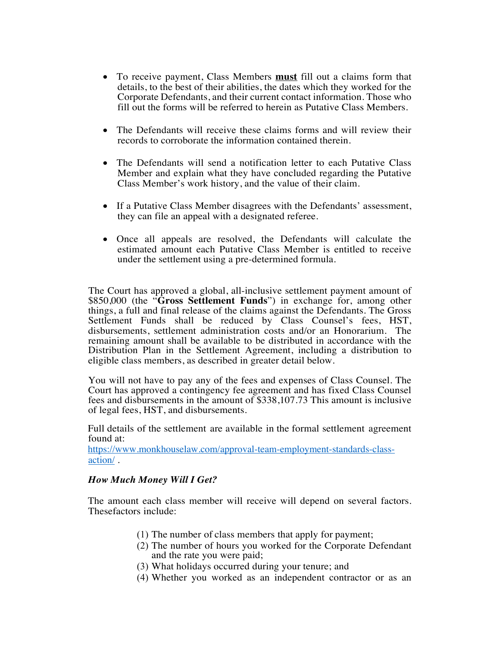- To receive payment, Class Members **must** fill out a claims form that details, to the best of their abilities, the dates which they worked for the Corporate Defendants, and their current contact information. Those who fill out the forms will be referred to herein as Putative Class Members.
- The Defendants will receive these claims forms and will review their records to corroborate the information contained therein.
- The Defendants will send a notification letter to each Putative Class Member and explain what they have concluded regarding the Putative Class Member's work history, and the value of their claim.
- If a Putative Class Member disagrees with the Defendants' assessment, they can file an appeal with a designated referee.
- Once all appeals are resolved, the Defendants will calculate the estimated amount each Putative Class Member is entitled to receive under the settlement using a pre-determined formula.

The Court has approved a global, all-inclusive settlement payment amount of \$850,000 (the "**Gross Settlement Funds**") in exchange for, among other things, a full and final release of the claims against the Defendants. The Gross Settlement Funds shall be reduced by Class Counsel's fees, HST, disbursements, settlement administration costs and/or an Honorarium. The remaining amount shall be available to be distributed in accordance with the Distribution Plan in the Settlement Agreement, including a distribution to eligible class members, as described in greater detail below.

You will not have to pay any of the fees and expenses of Class Counsel. The Court has approved a contingency fee agreement and has fixed Class Counsel fees and disbursements in the amount of \$338,107.73 This amount is inclusive of legal fees, HST, and disbursements.

Full details of the settlement are available in the formal settlement agreement found at:

https://www.monkhouselaw.com/approval-team-employment-standards-classaction/ .

#### *How Much Money Will I Get?*

The amount each class member will receive will depend on several factors. Thesefactors include:

- (1) The number of class members that apply for payment;
- (2) The number of hours you worked for the Corporate Defendant and the rate you were paid;
- (3) What holidays occurred during your tenure; and
- (4) Whether you worked as an independent contractor or as an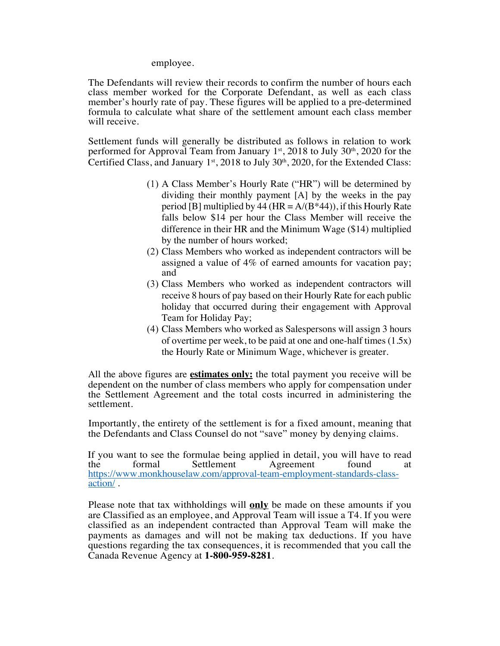employee.

The Defendants will review their records to confirm the number of hours each class member worked for the Corporate Defendant, as well as each class member's hourly rate of pay. These figures will be applied to a pre-determined formula to calculate what share of the settlement amount each class member will receive.

Settlement funds will generally be distributed as follows in relation to work performed for Approval Team from January 1<sup>st</sup>, 2018 to July 30<sup>th</sup>, 2020 for the Certified Class, and January  $1^{st}$ , 2018 to July 30<sup>th</sup>, 2020, for the Extended Class:

- (1) A Class Member's Hourly Rate ("HR") will be determined by dividing their monthly payment [A] by the weeks in the pay period [B] multiplied by 44 (HR =  $A/(B*44)$ ), if this Hourly Rate falls below \$14 per hour the Class Member will receive the difference in their HR and the Minimum Wage (\$14) multiplied by the number of hours worked;
- (2) Class Members who worked as independent contractors will be assigned a value of 4% of earned amounts for vacation pay; and
- (3) Class Members who worked as independent contractors will receive 8 hours of pay based on their Hourly Rate for each public holiday that occurred during their engagement with Approval Team for Holiday Pay;
- (4) Class Members who worked as Salespersons will assign 3 hours of overtime per week, to be paid at one and one-half times (1.5x) the Hourly Rate or Minimum Wage, whichever is greater.

All the above figures are **estimates only:** the total payment you receive will be dependent on the number of class members who apply for compensation under the Settlement Agreement and the total costs incurred in administering the settlement.

Importantly, the entirety of the settlement is for a fixed amount, meaning that the Defendants and Class Counsel do not "save" money by denying claims.

If you want to see the formulae being applied in detail, you will have to read the formal Settlement Agreement found at https://www.monkhouselaw.com/approval-team-employment-standards-class- action/ .

Please note that tax withholdings will **only** be made on these amounts if you are Classified as an employee, and Approval Team will issue a T4. If you were classified as an independent contracted than Approval Team will make the payments as damages and will not be making tax deductions. If you have questions regarding the tax consequences, it is recommended that you call the Canada Revenue Agency at **1-800-959-8281**.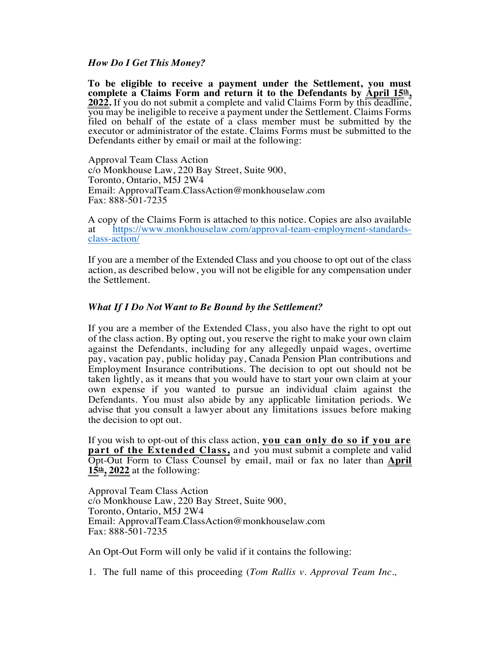#### *How Do I Get This Money?*

**To be eligible to receive a payment under the Settlement, you must complete a Claims Form and return it to the Defendants by April 15th ,**  2022. If you do not submit a complete and valid Claims Form by this deadline, you may be ineligible to receive a payment under the Settlement. Claims Forms filed on behalf of the estate of a class member must be submitted by the executor or administrator of the estate. Claims Forms must be submitted to the Defendants either by email or mail at the following:

Approval Team Class Action c/o Monkhouse Law, 220 Bay Street, Suite 900, Toronto, Ontario, M5J 2W4 Email: ApprovalTeam.ClassAction@monkhouselaw.com Fax: 888-501-7235

A copy of the Claims Form is attached to this notice. Copies are also available at https://www.monkhouselaw.com/approval-team-employment-standardsclass-action/

If you are a member of the Extended Class and you choose to opt out of the class action, as described below, you will not be eligible for any compensation under the Settlement.

#### *What If I Do Not Want to Be Bound by the Settlement?*

If you are a member of the Extended Class, you also have the right to opt out of the class action. By opting out, you reserve the right to make your own claim against the Defendants, including for any allegedly unpaid wages, overtime pay, vacation pay, public holiday pay, Canada Pension Plan contributions and Employment Insurance contributions. The decision to opt out should not be taken lightly, as it means that you would have to start your own claim at your own expense if you wanted to pursue an individual claim against the Defendants. You must also abide by any applicable limitation periods. We advise that you consult a lawyer about any limitations issues before making the decision to opt out.

If you wish to opt-out of this class action, **you can only do so if you are part of the Extended Class,** and you must submit a complete and valid Opt-Out Form to Class Counsel by email, mail or fax no later than **April**  $\frac{15}{\text{h}}$ ,  $\frac{2022}{\text{h}}$  at the following:

Approval Team Class Action c/o Monkhouse Law, 220 Bay Street, Suite 900, Toronto, Ontario, M5J 2W4 Email: ApprovalTeam.ClassAction@monkhouselaw.com Fax: 888-501-7235

An Opt-Out Form will only be valid if it contains the following:

1. The full name of this proceeding (*Tom Rallis v. Approval Team Inc.,*